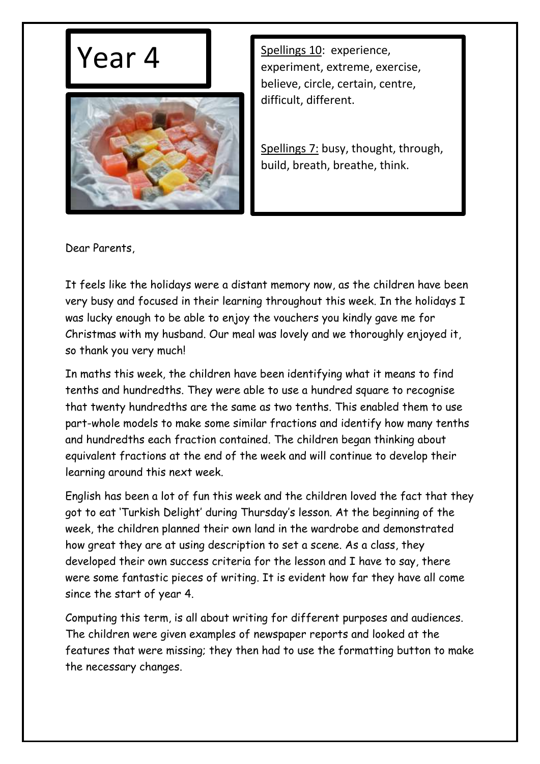



Year 4 Spellings 10: experience, experiment, extreme, exercise, believe, circle, certain, centre, difficult, different.

> Spellings 7: busy, thought, through, build, breath, breathe, think.

Dear Parents,

It feels like the holidays were a distant memory now, as the children have been very busy and focused in their learning throughout this week. In the holidays I was lucky enough to be able to enjoy the vouchers you kindly gave me for Christmas with my husband. Our meal was lovely and we thoroughly enjoyed it, so thank you very much!

In maths this week, the children have been identifying what it means to find tenths and hundredths. They were able to use a hundred square to recognise that twenty hundredths are the same as two tenths. This enabled them to use part-whole models to make some similar fractions and identify how many tenths and hundredths each fraction contained. The children began thinking about equivalent fractions at the end of the week and will continue to develop their learning around this next week.

English has been a lot of fun this week and the children loved the fact that they got to eat 'Turkish Delight' during Thursday's lesson. At the beginning of the week, the children planned their own land in the wardrobe and demonstrated how great they are at using description to set a scene. As a class, they developed their own success criteria for the lesson and I have to say, there were some fantastic pieces of writing. It is evident how far they have all come since the start of year 4.

Computing this term, is all about writing for different purposes and audiences. The children were given examples of newspaper reports and looked at the features that were missing; they then had to use the formatting button to make the necessary changes.